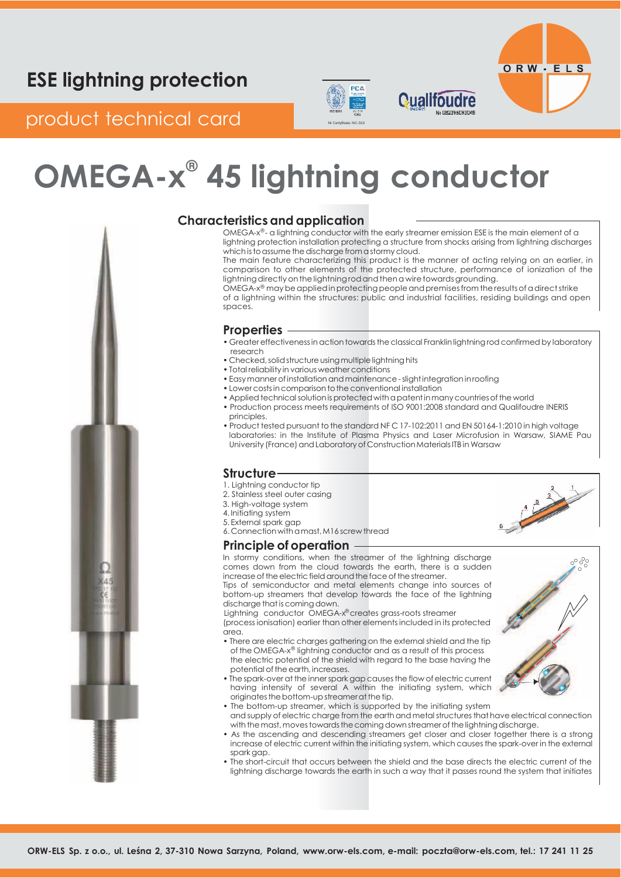# PCA



## product technical card Networks

# **OMEGA-x ® 45 lightning conductor**



### **Characteristics and application**

OMEGA-x®- a lightning conductor with the early streamer emission ESE is the main element of a lightning protection installation protecting a structure from shocks arising from lightning discharges which is to assume the discharge from a stormy cloud.

**Qualifoudre** 

The main feature characterizing this product is the manner of acting relying on an earlier, in comparison to other elements of the protected structure, performance of ionization of the lightning directly on the lightning rod and then a wire towards grounding.

OMEGA-x® may be applied in protecting people and premises from the results of a direct strike of a lightning within the structures: public and industrial facilities, residing buildings and open spaces.

#### **Properties**

- Greater effectiveness in action towards the classical Franklin lightning rod confirmed by laboratory research
- Checked, solid structure using multiple lightning hits
- Total reliability in various weather conditions
- Easy manner of installation and maintenance slight integration in roofing
- Lower costs in comparison to the conventional installation
- Applied technical solution is protected with a patent in many countries of the world
- Production process meets requirements of ISO 9001:2008 standard and Qualifoudre INERIS principles.
- Product tested pursuant to the standard NFC 17-102:2011 and EN 50164-1:2010 in high voltage laboratories: in the Institute of Plasma Physics and Laser Microfusion in Warsaw, SIAME Pau University (France) and Laboratory of Construction Materials ITB in Warsaw

### **Structure**

- 1. Lightning conductor tip
- 2. Stainless steel outer casing
- 3. High-voltage system
- 4. Initiating system
- 5. External spark gap 6. Connection withamast,M16 screw thread

#### **Principle of operation**

In stormy conditions, when the streamer of the lightning discharge comes down from the cloud towards the earth, there is a sudden increase of the electric field around the face of the streamer.

Tips of semiconductor and metal elements change into sources of bottom-up streamers that develop towards the face of the lightning discharge that is coming down.

Lightning conductor OMEGA-x® creates grass-roots streamer (process ionisation) earlier than other elements included in its protected area.

- There are electric charges gathering on the external shield and the tip of the OMEGA-x® lightning conductor and as a result of this process the electric potential of the shield with regard to the base having the potential of the earth, increases.
- The spark-over at the innerspark gap causesthe flow of electric current having intensity of several A within the initiating system, which originates the bottom-up streamer at the tip.
- The bottom-up streamer, which is supported by the initiating system and supply of electric charge from the earth and metal structures that have electrical connection with the mast, moves towards the coming down streamer of the lightning discharge.
- As the ascending and descending streamers get closer and closer together there is a strong increase of electric current within the initiating system, which causesthe spark-over in the external spark gap.
- The short-circuit that occurs between the shield and the base directs the electric current of the lightning discharge towards the earth in such a way that it passes round the system that initiates